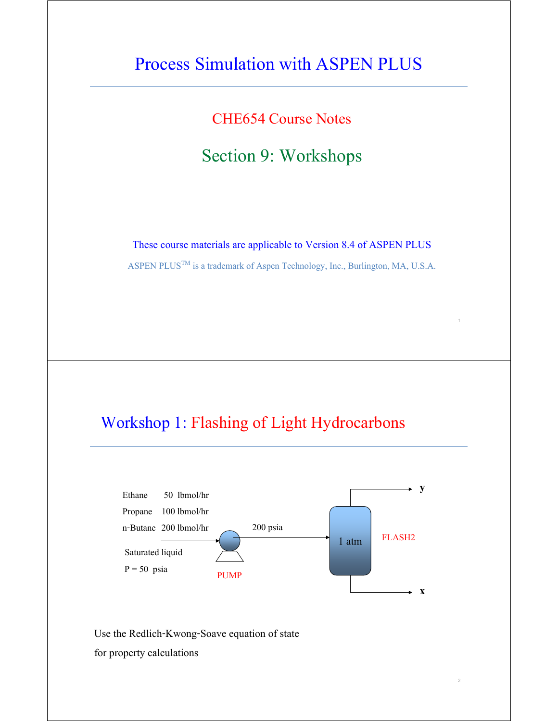# Process Simulation with ASPEN PLUS

CHE654 Course Notes

## Section 9: Workshops

These course materials are applicable to Version 8.4 of ASPEN PLUS

ASPEN PLUS<sup>TM</sup> is a trademark of Aspen Technology, Inc., Burlington, MA, U.S.A.

1

2

## Workshop 1: Flashing of Light Hydrocarbons



Use the Redlich-Kwong-Soave equation of state

for property calculations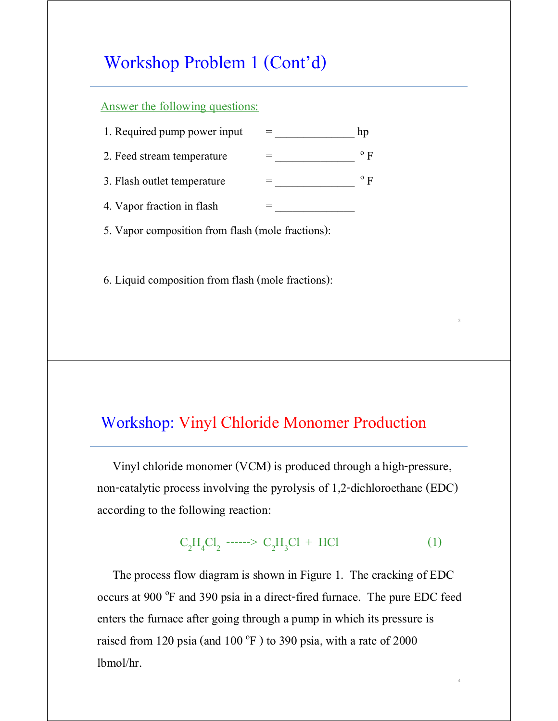## Workshop Problem 1 (Cont'd)

#### Answer the following questions:

| 1. Required pump power input |  |
|------------------------------|--|
| 2. Feed stream temperature   |  |
| 3. Flash outlet temperature  |  |
| 4. Vapor fraction in flash   |  |

5. Vapor composition from flash (mole fractions):

6. Liquid composition from flash (mole fractions):

### Workshop: Vinyl Chloride Monomer Production

 Vinyl chloride monomer (VCM) is produced through a high-pressure, non-catalytic process involving the pyrolysis of 1,2-dichloroethane (EDC) according to the following reaction:

# $C_2H_4Cl_2$  ------>  $C_2H_3Cl$  + HCl (1)

3

4

 The process flow diagram is shown in Figure 1. The cracking of EDC occurs at 900 °F and 390 psia in a direct-fired furnace. The pure EDC feed enters the furnace after going through a pump in which its pressure is raised from 120 psia (and 100  $^{\circ}$ F) to 390 psia, with a rate of 2000 lbmol/hr.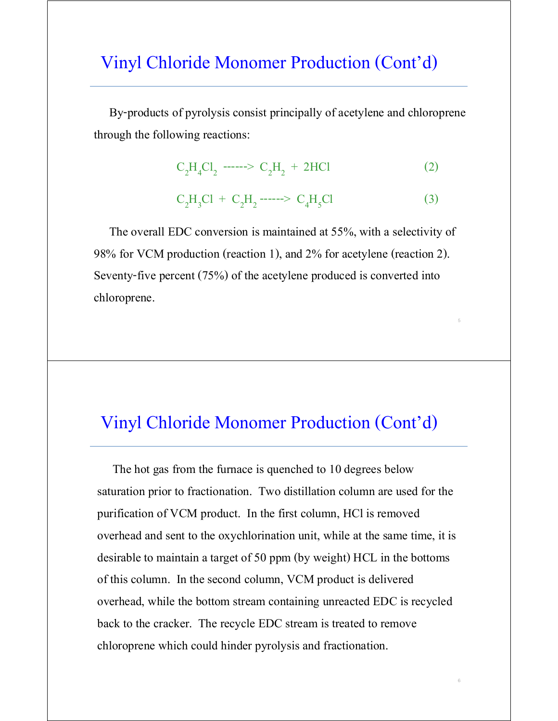## Vinyl Chloride Monomer Production (Cont'd)

 By-products of pyrolysis consist principally of acetylene and chloroprene through the following reactions:

$$
C_2H_4Cl_2 \cdots \cdots > C_2H_2 + 2HCl \tag{2}
$$

$$
C_2H_3Cl + C_2H_2 \longrightarrow C_4H_5Cl \tag{3}
$$

5

6

 The overall EDC conversion is maintained at 55%, with a selectivity of 98% for VCM production (reaction 1), and 2% for acetylene (reaction 2). Seventy-five percent (75%) of the acetylene produced is converted into chloroprene.

## Vinyl Chloride Monomer Production (Cont'd)

 The hot gas from the furnace is quenched to 10 degrees below saturation prior to fractionation. Two distillation column are used for the purification of VCM product. In the first column, HCl is removed overhead and sent to the oxychlorination unit, while at the same time, it is desirable to maintain a target of 50 ppm (by weight) HCL in the bottoms of this column. In the second column, VCM product is delivered overhead, while the bottom stream containing unreacted EDC is recycled back to the cracker. The recycle EDC stream is treated to remove chloroprene which could hinder pyrolysis and fractionation.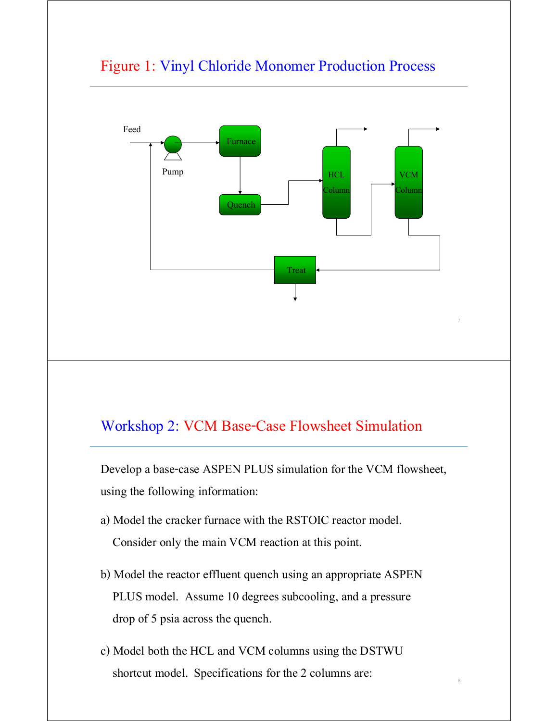

### Figure 1: Vinyl Chloride Monomer Production Process

### Workshop 2: VCM Base-Case Flowsheet Simulation

Develop a base-case ASPEN PLUS simulation for the VCM flowsheet, using the following information:

- a) Model the cracker furnace with the RSTOIC reactor model. Consider only the main VCM reaction at this point.
- b) Model the reactor effluent quench using an appropriate ASPEN PLUS model. Assume 10 degrees subcooling, and a pressure drop of 5 psia across the quench.
- c) Model both the HCL and VCM columns using the DSTWU shortcut model. Specifications for the 2 columns are: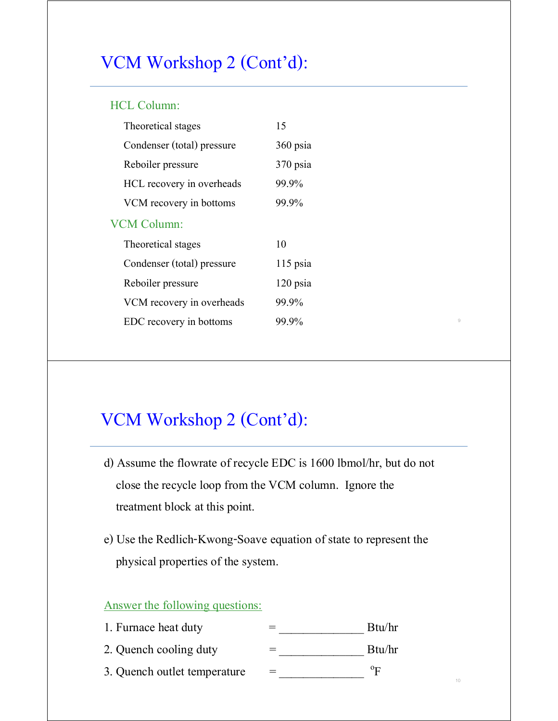# VCM Workshop 2 (Cont'd):

#### HCL Column:

| Theoretical stages         | 15       |
|----------------------------|----------|
| Condenser (total) pressure | 360 psia |
| Reboiler pressure          | 370 psia |
| HCL recovery in overheads  | 99.9%    |
| VCM recovery in bottoms    | 99.9%    |
| VCM Column:                |          |
| Theoretical stages         | 10       |
| Condenser (total) pressure | 115 psia |
| Reboiler pressure          | 120 psia |
| VCM recovery in overheads  | 99.9%    |
| EDC recovery in bottoms    | 99.9%    |
|                            |          |

# VCM Workshop 2 (Cont'd):

d) Assume the flowrate of recycle EDC is 1600 lbmol/hr, but do not close the recycle loop from the VCM column. Ignore the treatment block at this point.

9

10

e) Use the Redlich-Kwong-Soave equation of state to represent the physical properties of the system.

### Answer the following questions:

| 1. Furnace heat duty         | Btu/hr      |
|------------------------------|-------------|
| 2. Quench cooling duty       | Btu/hr      |
| 3. Quench outlet temperature | $\rm ^{o}F$ |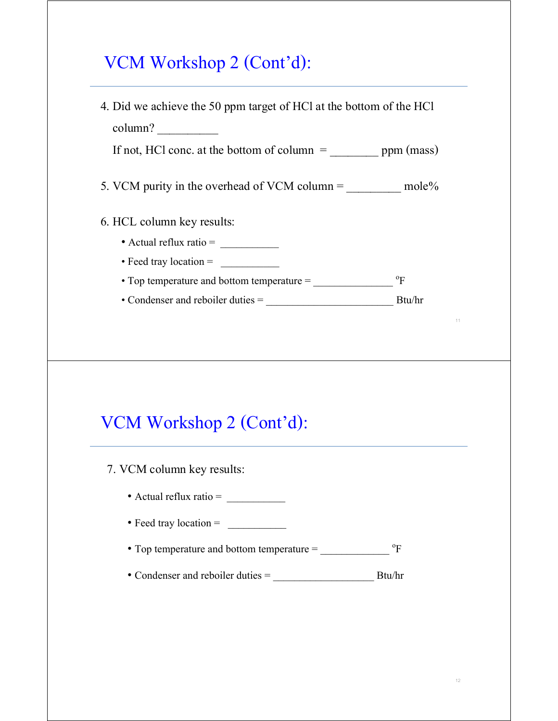# VCM Workshop 2 (Cont'd):

11 4. Did we achieve the 50 ppm target of HCl at the bottom of the HCl column? If not, HCl conc. at the bottom of column  $=$  \_\_\_\_\_\_\_\_\_\_\_\_\_\_ ppm (mass) 5. VCM purity in the overhead of VCM column =  $\_\_\_\_\_\_\_\$ mole% 6. HCL column key results: • Actual reflux ratio = \_\_\_\_\_\_\_\_\_\_\_ • Feed tray location =  $\frac{\qquad \qquad }{ \qquad \qquad }$ • Top temperature and bottom temperature = \_\_\_\_\_\_\_\_\_\_\_\_\_\_\_ o  $\mathrm{^{0}F}$ • Condenser and reboiler duties = \_\_\_\_\_\_\_\_\_\_\_\_\_\_\_\_\_\_\_\_\_\_\_\_ Btu/hr VCM Workshop 2 (Cont'd): 7. VCM column key results: • Actual reflux ratio = • Feed tray location = \_\_\_\_\_\_\_\_\_\_\_ • Top temperature and bottom temperature =  $\rm ^{o}F$ • Condenser and reboiler duties = \_\_\_\_\_\_\_\_\_\_\_\_\_\_\_\_\_\_\_ Btu/hr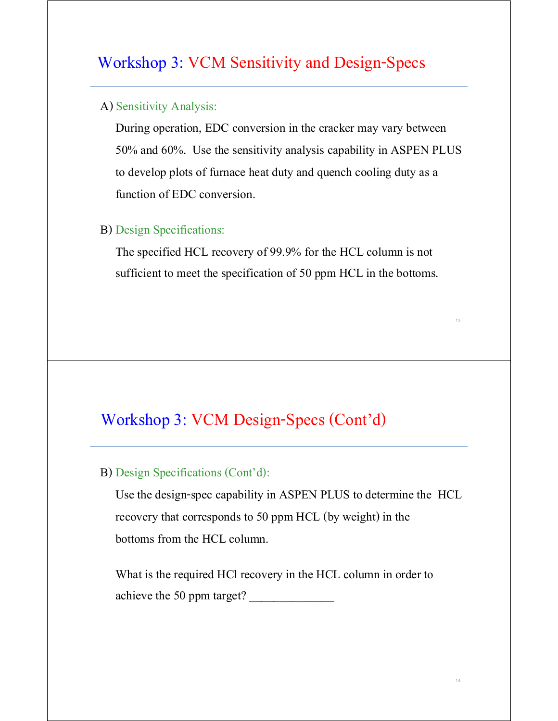### Workshop 3: VCM Sensitivity and Design-Specs

#### A) Sensitivity Analysis:

 During operation, EDC conversion in the cracker may vary between 50% and 60%. Use the sensitivity analysis capability in ASPEN PLUS to develop plots of furnace heat duty and quench cooling duty as a function of EDC conversion.

### B) Design Specifications:

 The specified HCL recovery of 99.9% for the HCL column is not sufficient to meet the specification of 50 ppm HCL in the bottoms.

## Workshop 3: VCM Design-Specs (Cont'd)

#### B) Design Specifications (Cont'd):

 Use the design-spec capability in ASPEN PLUS to determine the HCL recovery that corresponds to 50 ppm HCL (by weight) in the bottoms from the HCL column.

 What is the required HCl recovery in the HCL column in order to achieve the 50 ppm target?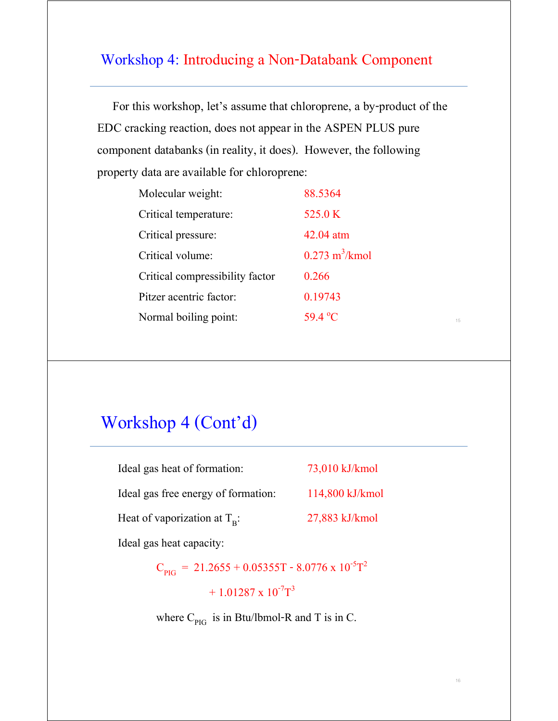### Workshop 4: Introducing a Non-Databank Component

 For this workshop, let's assume that chloroprene, a by-product of the EDC cracking reaction, does not appear in the ASPEN PLUS pure component databanks (in reality, it does). However, the following property data are available for chloroprene:

| Molecular weight:               | 88.5364                         |
|---------------------------------|---------------------------------|
| Critical temperature:           | 525.0 K                         |
| Critical pressure:              | $42.04$ atm                     |
| Critical volume:                | $0.273 \text{ m}^3/\text{kmol}$ |
| Critical compressibility factor | 0.266                           |
| Pitzer acentric factor:         | 0.19743                         |
| Normal boiling point:           | 59.4 °C                         |

15

16

## Workshop 4 (Cont'd)

| Ideal gas heat of formation:          | 73,010 kJ/kmol  |
|---------------------------------------|-----------------|
| Ideal gas free energy of formation:   | 114,800 kJ/kmol |
| Heat of vaporization at $T_{\rm R}$ : | 27,883 kJ/kmol  |

Ideal gas heat capacity:

 $C_{PIG}$  = 21.2655 + 0.05355T - 8.0776 x 10<sup>-5</sup>T<sup>2</sup>  $+ 1.01287 \times 10^{-7}T^3$ 

where  $C_{PIG}$  is in Btu/lbmol-R and T is in C.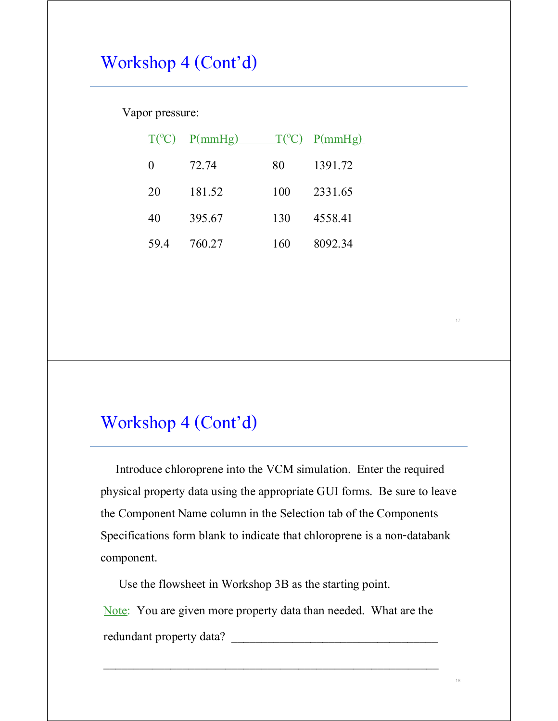# Workshop 4 (Cont'd)

Vapor pressure:

|     | $T({}^{\circ}C)$ P(mmHg) |     | $T({}^{\circ}C)$ P(mmHg) |
|-----|--------------------------|-----|--------------------------|
| 0   | 72.74                    | 80  | 1391.72                  |
| 20  | 181.52                   | 100 | 2331.65                  |
| 40  | 395.67                   | 130 | 4558.41                  |
| 594 | 760.27                   | 160 | 8092.34                  |

# Workshop 4 (Cont'd)

 Introduce chloroprene into the VCM simulation. Enter the required physical property data using the appropriate GUI forms. Be sure to leave the Component Name column in the Selection tab of the Components Specifications form blank to indicate that chloroprene is a non-databank component.

Use the flowsheet in Workshop 3B as the starting point.

Note: You are given more property data than needed. What are the redundant property data?

 $\overline{\phantom{a}}$  , and the contract of the contract of the contract of the contract of the contract of the contract of the contract of the contract of the contract of the contract of the contract of the contract of the contrac

18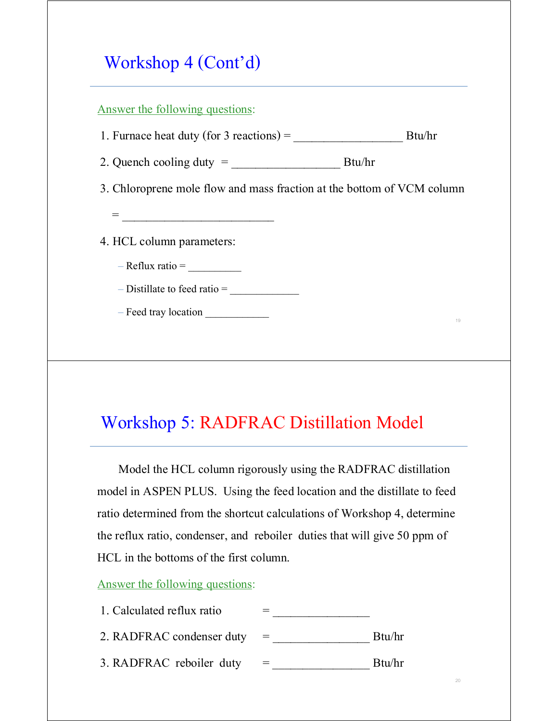# Workshop 4 (Cont'd)

19 Answer the following questions: 1. Furnace heat duty (for 3 reactions) =  $\_\_\_\_\_\_\_\_\_\_\_\_$  Btu/hr 2. Quench cooling duty = \_\_\_\_\_\_\_\_\_\_\_\_\_\_\_\_\_\_ Btu/hr 3. Chloroprene mole flow and mass fraction at the bottom of VCM column = \_\_\_\_\_\_\_\_\_\_\_\_\_\_\_\_\_\_\_\_\_\_\_\_\_ 4. HCL column parameters:  $-$  Reflux ratio =  $\_\_$  $-$  Distillate to feed ratio  $=$ – Feed tray location

# Workshop 5: RADFRAC Distillation Model

 Model the HCL column rigorously using the RADFRAC distillation model in ASPEN PLUS. Using the feed location and the distillate to feed ratio determined from the shortcut calculations of Workshop 4, determine the reflux ratio, condenser, and reboiler duties that will give 50 ppm of HCL in the bottoms of the first column.

20

#### Answer the following questions: